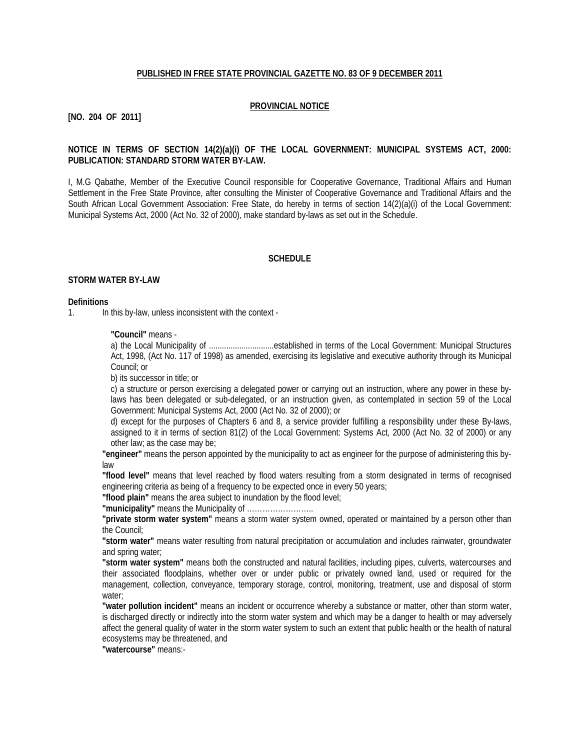#### **PUBLISHED IN FREE STATE PROVINCIAL GAZETTE NO. 83 OF 9 DECEMBER 2011**

#### **PROVINCIAL NOTICE**

### **[NO. 204 OF 2011]**

#### **NOTICE IN TERMS OF SECTION 14(2)(a)(i) OF THE LOCAL GOVERNMENT: MUNICIPAL SYSTEMS ACT, 2000: PUBLICATION: STANDARD STORM WATER BY-LAW.**

I, M.G Qabathe, Member of the Executive Council responsible for Cooperative Governance, Traditional Affairs and Human Settlement in the Free State Province, after consulting the Minister of Cooperative Governance and Traditional Affairs and the South African Local Government Association: Free State, do hereby in terms of section 14(2)(a)(i) of the Local Government: Municipal Systems Act, 2000 (Act No. 32 of 2000), make standard by-laws as set out in the Schedule.

#### **SCHEDULE**

#### **STORM WATER BY-LAW**

#### **Definitions**

1. In this by-law, unless inconsistent with the context -

**"Council"** means -

a) the Local Municipality of ..............................established in terms of the Local Government: Municipal Structures Act, 1998, (Act No. 117 of 1998) as amended, exercising its legislative and executive authority through its Municipal Council; or

b) its successor in title; or

c) a structure or person exercising a delegated power or carrying out an instruction, where any power in these bylaws has been delegated or sub-delegated, or an instruction given, as contemplated in section 59 of the Local Government: Municipal Systems Act, 2000 (Act No. 32 of 2000); or

d) except for the purposes of Chapters 6 and 8, a service provider fulfilling a responsibility under these By-laws, assigned to it in terms of section 81(2) of the Local Government: Systems Act, 2000 (Act No. 32 of 2000) or any other law; as the case may be;

**"engineer"** means the person appointed by the municipality to act as engineer for the purpose of administering this bylaw

**"flood level"** means that level reached by flood waters resulting from a storm designated in terms of recognised engineering criteria as being of a frequency to be expected once in every 50 years;

**"flood plain"** means the area subject to inundation by the flood level;

**"municipality"** means the Municipality of ……………………..

**"private storm water system"** means a storm water system owned, operated or maintained by a person other than the Council;

**"storm water"** means water resulting from natural precipitation or accumulation and includes rainwater, groundwater and spring water;

**"storm water system"** means both the constructed and natural facilities, including pipes, culverts, watercourses and their associated floodplains, whether over or under public or privately owned land, used or required for the management, collection, conveyance, temporary storage, control, monitoring, treatment, use and disposal of storm water;

**"water pollution incident"** means an incident or occurrence whereby a substance or matter, other than storm water, is discharged directly or indirectly into the storm water system and which may be a danger to health or may adversely affect the general quality of water in the storm water system to such an extent that public health or the health of natural ecosystems may be threatened, and

**"watercourse"** means:-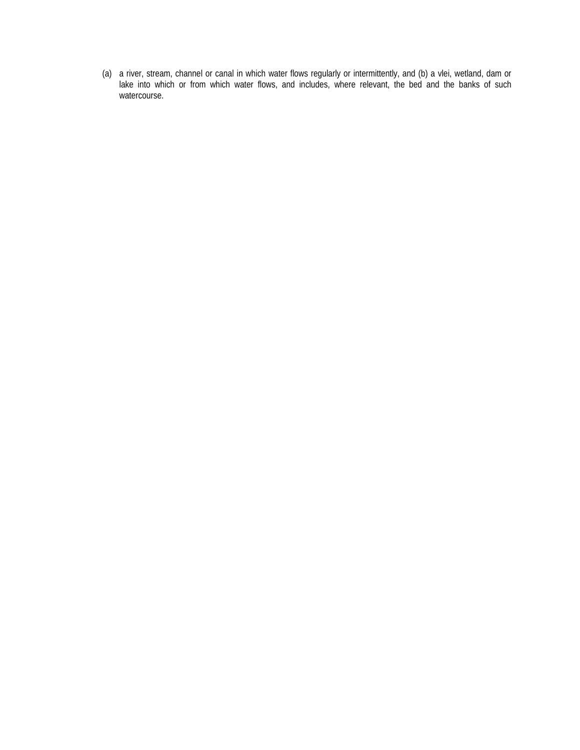(a) a river, stream, channel or canal in which water flows regularly or intermittently, and (b) a vlei, wetland, dam or lake into which or from which water flows, and includes, where relevant, the bed and the banks of such watercourse.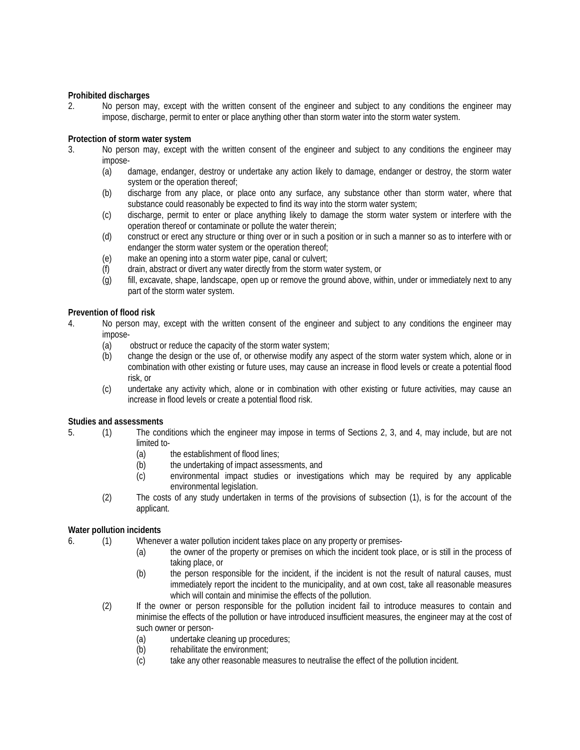### **Prohibited discharges**

2. No person may, except with the written consent of the engineer and subject to any conditions the engineer may impose, discharge, permit to enter or place anything other than storm water into the storm water system.

# **Protection of storm water system**

- 3. No person may, except with the written consent of the engineer and subject to any conditions the engineer may impose-
	- (a) damage, endanger, destroy or undertake any action likely to damage, endanger or destroy, the storm water system or the operation thereof;
	- (b) discharge from any place, or place onto any surface, any substance other than storm water, where that substance could reasonably be expected to find its way into the storm water system;
	- (c) discharge, permit to enter or place anything likely to damage the storm water system or interfere with the operation thereof or contaminate or pollute the water therein;
	- (d) construct or erect any structure or thing over or in such a position or in such a manner so as to interfere with or endanger the storm water system or the operation thereof;
	- (e) make an opening into a storm water pipe, canal or culvert;
	- (f) drain, abstract or divert any water directly from the storm water system, or
	- (g) fill, excavate, shape, landscape, open up or remove the ground above, within, under or immediately next to any part of the storm water system.

# **Prevention of flood risk**

- 4. No person may, except with the written consent of the engineer and subject to any conditions the engineer may impose-
	- (a) obstruct or reduce the capacity of the storm water system;
	- (b) change the design or the use of, or otherwise modify any aspect of the storm water system which, alone or in combination with other existing or future uses, may cause an increase in flood levels or create a potential flood risk, or
	- (c) undertake any activity which, alone or in combination with other existing or future activities, may cause an increase in flood levels or create a potential flood risk.

#### **Studies and assessments**

- 5. (1) The conditions which the engineer may impose in terms of Sections 2, 3, and 4, may include, but are not limited to-
	- (a) the establishment of flood lines;
	- (b) the undertaking of impact assessments, and
	- (c) environmental impact studies or investigations which may be required by any applicable environmental legislation.
	- (2) The costs of any study undertaken in terms of the provisions of subsection (1), is for the account of the applicant.

# **Water pollution incidents**

- 6. (1) Whenever a water pollution incident takes place on any property or premises-
	- (a) the owner of the property or premises on which the incident took place, or is still in the process of taking place, or
	- (b) the person responsible for the incident, if the incident is not the result of natural causes, must immediately report the incident to the municipality, and at own cost, take all reasonable measures which will contain and minimise the effects of the pollution.
	- (2) If the owner or person responsible for the pollution incident fail to introduce measures to contain and minimise the effects of the pollution or have introduced insufficient measures, the engineer may at the cost of such owner or person-
		- (a) undertake cleaning up procedures;
		- (b) rehabilitate the environment;
		- (c) take any other reasonable measures to neutralise the effect of the pollution incident.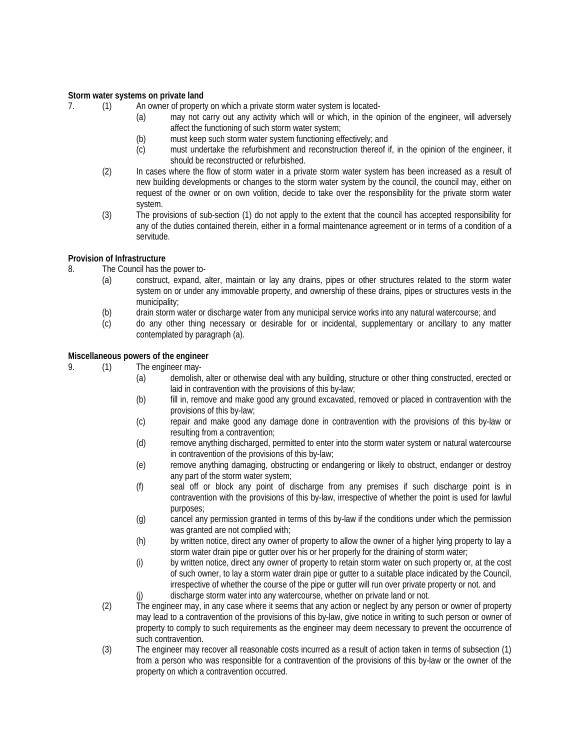#### **Storm water systems on private land**

7. (1) An owner of property on which a private storm water system is located-

- (a) may not carry out any activity which will or which, in the opinion of the engineer, will adversely affect the functioning of such storm water system;
- (b) must keep such storm water system functioning effectively; and
- (c) must undertake the refurbishment and reconstruction thereof if, in the opinion of the engineer, it should be reconstructed or refurbished.
- (2) In cases where the flow of storm water in a private storm water system has been increased as a result of new building developments or changes to the storm water system by the council, the council may, either on request of the owner or on own volition, decide to take over the responsibility for the private storm water system.
- (3) The provisions of sub-section (1) do not apply to the extent that the council has accepted responsibility for any of the duties contained therein, either in a formal maintenance agreement or in terms of a condition of a servitude.

# **Provision of Infrastructure**

- 8. The Council has the power to-
	- (a) construct, expand, alter, maintain or lay any drains, pipes or other structures related to the storm water system on or under any immovable property, and ownership of these drains, pipes or structures vests in the municipality;
	- (b) drain storm water or discharge water from any municipal service works into any natural watercourse; and
	- (c) do any other thing necessary or desirable for or incidental, supplementary or ancillary to any matter contemplated by paragraph (a).

# **Miscellaneous powers of the engineer**

9. (1) The engineer may-

- (a) demolish, alter or otherwise deal with any building, structure or other thing constructed, erected or laid in contravention with the provisions of this by-law;
- (b) fill in, remove and make good any ground excavated, removed or placed in contravention with the provisions of this by-law;
- (c) repair and make good any damage done in contravention with the provisions of this by-law or resulting from a contravention;
- (d) remove anything discharged, permitted to enter into the storm water system or natural watercourse in contravention of the provisions of this by-law;
- (e) remove anything damaging, obstructing or endangering or likely to obstruct, endanger or destroy any part of the storm water system;
- (f) seal off or block any point of discharge from any premises if such discharge point is in contravention with the provisions of this by-law, irrespective of whether the point is used for lawful purposes;
- (g) cancel any permission granted in terms of this by-law if the conditions under which the permission was granted are not complied with:
- (h) by written notice, direct any owner of property to allow the owner of a higher lying property to lay a storm water drain pipe or gutter over his or her properly for the draining of storm water;
- (i) by written notice, direct any owner of property to retain storm water on such property or, at the cost of such owner, to lay a storm water drain pipe or gutter to a suitable place indicated by the Council, irrespective of whether the course of the pipe or gutter will run over private property or not. and
- (j) discharge storm water into any watercourse, whether on private land or not.
- (2) The engineer may, in any case where it seems that any action or neglect by any person or owner of property may lead to a contravention of the provisions of this by-law, give notice in writing to such person or owner of property to comply to such requirements as the engineer may deem necessary to prevent the occurrence of such contravention.
- (3) The engineer may recover all reasonable costs incurred as a result of action taken in terms of subsection (1) from a person who was responsible for a contravention of the provisions of this by-law or the owner of the property on which a contravention occurred.